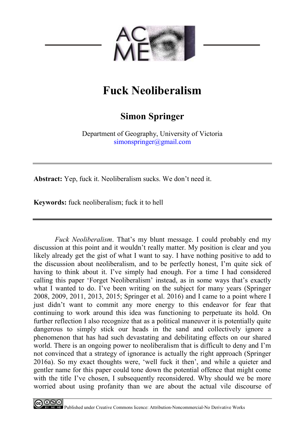

## **Fuck Neoliberalism**

## **Simon Springer**

Department of Geography, University of Victoria [simonspringer@gmail.com](mailto:simonspringer@gmail.com)

**Abstract:** Yep, fuck it. Neoliberalism sucks. We don't need it.

**Keywords:** fuck neoliberalism; fuck it to hell

*Fuck Neoliberalism*. That's my blunt message. I could probably end my discussion at this point and it wouldn't really matter. My position is clear and you likely already get the gist of what I want to say. I have nothing positive to add to the discussion about neoliberalism, and to be perfectly honest, I'm quite sick of having to think about it. I've simply had enough. For a time I had considered calling this paper 'Forget Neoliberalism' instead, as in some ways that's exactly what I wanted to do. I've been writing on the subject for many years (Springer 2008, 2009, 2011, 2013, 2015; Springer et al. 2016) and I came to a point where I just didn't want to commit any more energy to this endeavor for fear that continuing to work around this idea was functioning to perpetuate its hold. On further reflection I also recognize that as a political maneuver it is potentially quite dangerous to simply stick our heads in the sand and collectively ignore a phenomenon that has had such devastating and debilitating effects on our shared world. There is an ongoing power to neoliberalism that is difficult to deny and I'm not convinced that a strategy of ignorance is actually the right approach (Springer 2016a). So my exact thoughts were, 'well fuck it then', and while a quieter and gentler name for this paper could tone down the potential offence that might come with the title I've chosen, I subsequently reconsidered. Why should we be more worried about using profanity than we are about the actual vile discourse of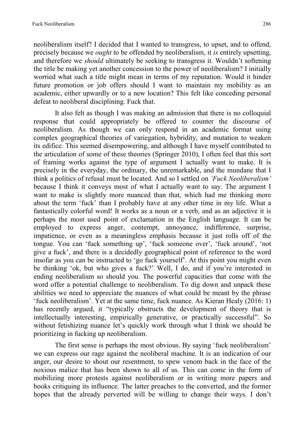neoliberalism itself? I decided that I wanted to transgress, to upset, and to offend, precisely because we *ought* to be offended by neoliberalism, it *is* entirely upsetting, and therefore we *should* ultimately be seeking to transgress it. Wouldn't softening the title be making yet another concession to the power of neoliberalism? I initially worried what such a title might mean in terms of my reputation. Would it hinder future promotion or job offers should I want to maintain my mobility as an academic, either upwardly or to a new location? This felt like conceding personal defeat to neoliberal disciplining. Fuck that.

It also felt as though I was making an admission that there is no colloquial response that could appropriately be offered to counter the discourse of neoliberalism. As though we can only respond in an academic format using complex geographical theories of variegation, hybridity, and mutation to weaken its edifice. This seemed disempowering, and although I have myself contributed to the articulation of some of these theories (Springer 2010), I often feel that this sort of framing works against the type of argument I actually want to make. It is precisely in the everyday, the ordinary, the unremarkable, and the mundane that I think a politics of refusal must be located. And so I settled on *'Fuck Neoliberalism'* because I think it conveys most of what I actually want to say. The argument I want to make is slightly more nuanced than that, which had me thinking more about the term 'fuck' than I probably have at any other time in my life. What a fantastically colorful word! It works as a noun or a verb, and as an adjective it is perhaps the most used point of exclamation in the English language. It can be employed to express anger, contempt, annoyance, indifference, surprise, impatience, or even as a meaningless emphasis because it just rolls off of the tongue. You can 'fuck something up', 'fuck someone over', 'fuck around', 'not give a fuck', and there is a decidedly geographical point of reference to the word insofar as you can be instructed to 'go fuck yourself'. At this point you might even be thinking 'ok, but who gives a fuck?' Well, I do, and if you're interested in ending neoliberalism so should you. The powerful capacities that come with the word offer a potential challenge to neoliberalism. To dig down and unpack these abilities we need to appreciate the nuances of what could be meant by the phrase 'fuck neoliberalism'. Yet at the same time, fuck nuance. As Kieran Healy (2016: 1) has recently argued, it "typically obstructs the development of theory that is intellectually interesting, empirically generative, or practically successful". So without fetishizing nuance let's quickly work through what I think we should be prioritizing in fucking up neoliberalism.

The first sense is perhaps the most obvious. By saying 'fuck neoliberalism' we can express our rage against the neoliberal machine. It is an indication of our anger, our desire to shout our resentment, to spew venom back in the face of the noxious malice that has been shown to all of us. This can come in the form of mobilizing more protests against neoliberalism or in writing more papers and books critiquing its influence. The latter preaches to the converted, and the former hopes that the already perverted will be willing to change their ways. I don't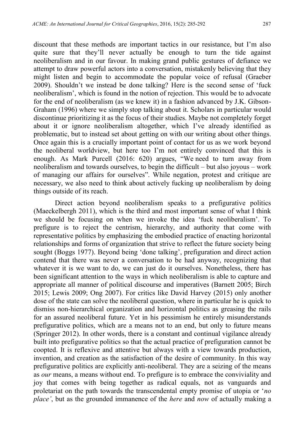discount that these methods are important tactics in our resistance, but I'm also quite sure that they'll never actually be enough to turn the tide against neoliberalism and in our favour. In making grand public gestures of defiance we attempt to draw powerful actors into a conversation, mistakenly believing that they might listen and begin to accommodate the popular voice of refusal (Graeber 2009). Shouldn't we instead be done talking? Here is the second sense of 'fuck neoliberalism', which is found in the notion of rejection. This would be to advocate for the end of neoliberalism (as we knew it) in a fashion advanced by J.K. Gibson-Graham (1996) where we simply stop talking about it. Scholars in particular would discontinue prioritizing it as the focus of their studies. Maybe not completely forget about it or ignore neoliberalism altogether, which I've already identified as problematic, but to instead set about getting on with our writing about other things. Once again this is a crucially important point of contact for us as we work beyond the neoliberal worldview, but here too I'm not entirely convinced that this is enough. As Mark Purcell (2016: 620) argues, "We need to turn away from neoliberalism and towards ourselves, to begin the difficult – but also joyous – work of managing our affairs for ourselves". While negation, protest and critique are necessary, we also need to think about actively fucking up neoliberalism by doing things outside of its reach.

Direct action beyond neoliberalism speaks to a prefigurative politics (Maeckelbergh 2011), which is the third and most important sense of what I think we should be focusing on when we invoke the idea 'fuck neoliberalism'. To prefigure is to reject the centrism, hierarchy, and authority that come with representative politics by emphasizing the embodied practice of enacting horizontal relationships and forms of organization that strive to reflect the future society being sought (Boggs 1977). Beyond being 'done talking', prefiguration and direct action contend that there was never a conversation to be had anyway, recognizing that whatever it is we want to do, we can just do it ourselves. Nonetheless, there has been significant attention to the ways in which neoliberalism is able to capture and appropriate all manner of political discourse and imperatives (Barnett 2005; Birch 2015; Lewis 2009; Ong 2007). For critics like David Harvey (2015) only another dose of the state can solve the neoliberal question, where in particular he is quick to dismiss non-hierarchical organization and horizontal politics as greasing the rails for an assured neoliberal future. Yet in his pessimism he entirely misunderstands prefigurative politics, which are a means not to an end, but only to future means (Springer 2012). In other words, there is a constant and continual vigilance already built into prefigurative politics so that the actual practice of prefiguration cannot be coopted. It is reflexive and attentive but always with a view towards production, invention, and creation as the satisfaction of the desire of community. In this way prefigurative politics are explicitly anti-neoliberal. They are a seizing of the means as *our* means, a means without end. To prefigure is to embrace the conviviality and joy that comes with being together as radical equals, not as vanguards and proletariat on the path towards the transcendental empty promise of utopia or '*no place'*, but as the grounded immanence of the *here* and *now* of actually making a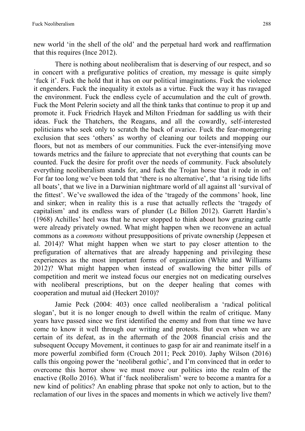new world 'in the shell of the old' and the perpetual hard work and reaffirmation that this requires (Ince 2012).

There is nothing about neoliberalism that is deserving of our respect, and so in concert with a prefigurative politics of creation, my message is quite simply 'fuck it'. Fuck the hold that it has on our political imaginations. Fuck the violence it engenders. Fuck the inequality it extols as a virtue. Fuck the way it has ravaged the environment. Fuck the endless cycle of accumulation and the cult of growth. Fuck the Mont Pelerin society and all the think tanks that continue to prop it up and promote it. Fuck Friedrich Hayek and Milton Friedman for saddling us with their ideas. Fuck the Thatchers, the Reagans, and all the cowardly, self-interested politicians who seek only to scratch the back of avarice. Fuck the fear-mongering exclusion that sees 'others' as worthy of cleaning our toilets and mopping our floors, but not as members of our communities. Fuck the ever-intensifying move towards metrics and the failure to appreciate that not everything that counts can be counted. Fuck the desire for profit over the needs of community. Fuck absolutely everything neoliberalism stands for, and fuck the Trojan horse that it rode in on! For far too long we've been told that 'there is no alternative', that 'a rising tide lifts all boats', that we live in a Darwinian nightmare world of all against all 'survival of the fittest'. We've swallowed the idea of the 'tragedy of the commons' hook, line and sinker; when in reality this is a ruse that actually reflects the 'tragedy of capitalism' and its endless wars of plunder (Le Billon 2012). Garrett Hardin's (1968) Achilles' heel was that he never stopped to think about how grazing cattle were already privately owned. What might happen when we reconvene an actual commons as a *commons* without presuppositions of private ownership (Jeppesen et al. 2014)? What might happen when we start to pay closer attention to the prefiguration of alternatives that are already happening and privileging these experiences as the most important forms of organization (White and Williams 2012)? What might happen when instead of swallowing the bitter pills of competition and merit we instead focus our energies not on medicating ourselves with neoliberal prescriptions, but on the deeper healing that comes with cooperation and mutual aid (Heckert 2010)?

Jamie Peck (2004: 403) once called neoliberalism a 'radical political slogan', but it is no longer enough to dwell within the realm of critique. Many years have passed since we first identified the enemy and from that time we have come to know it well through our writing and protests. But even when we are certain of its defeat, as in the aftermath of the 2008 financial crisis and the subsequent Occupy Movement, it continues to gasp for air and reanimate itself in a more powerful zombified form (Crouch 2011; Peck 2010). Japhy Wilson (2016) calls this ongoing power the 'neoliberal gothic', and I'm convinced that in order to overcome this horror show we must move our politics into the realm of the enactive (Rollo 2016). What if 'fuck neoliberalism' were to become a mantra for a new kind of politics? An enabling phrase that spoke not only to action, but to the reclamation of our lives in the spaces and moments in which we actively live them?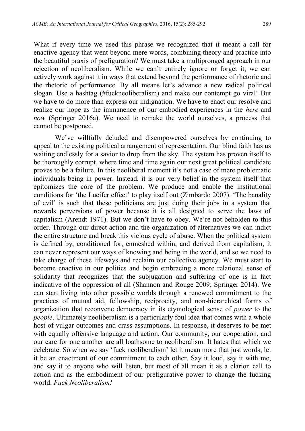What if every time we used this phrase we recognized that it meant a call for enactive agency that went beyond mere words, combining theory and practice into the beautiful praxis of prefiguration? We must take a multipronged approach in our rejection of neoliberalism. While we can't entirely ignore or forget it, we can actively work against it in ways that extend beyond the performance of rhetoric and the rhetoric of performance. By all means let's advance a new radical political slogan. Use a hashtag (#fuckneoliberalism) and make our contempt go viral! But we have to do more than express our indignation. We have to enact our resolve and realize our hope as the immanence of our embodied experiences in the *here* and *now* (Springer 2016a). We need to remake the world ourselves, a process that cannot be postponed.

We've willfully deluded and disempowered ourselves by continuing to appeal to the existing political arrangement of representation. Our blind faith has us waiting endlessly for a savior to drop from the sky. The system has proven itself to be thoroughly corrupt, where time and time again our next great political candidate proves to be a failure. In this neoliberal moment it's not a case of mere problematic individuals being in power. Instead, it is our very belief in the system itself that epitomizes the core of the problem. We produce and enable the institutional conditions for 'the Lucifer effect' to play itself out (Zimbardo 2007). 'The banality of evil' is such that these politicians are just doing their jobs in a system that rewards perversions of power because it is all designed to serve the laws of capitalism (Arendt 1971). But we don't have to obey. We're not beholden to this order. Through our direct action and the organization of alternatives we can indict the entire structure and break this vicious cycle of abuse. When the political system is defined by, conditioned for, enmeshed within, and derived from capitalism, it can never represent our ways of knowing and being in the world, and so we need to take charge of these lifeways and reclaim our collective agency. We must start to become enactive in our politics and begin embracing a more relational sense of solidarity that recognizes that the subjugation and suffering of one is in fact indicative of the oppression of all (Shannon and Rouge 2009; Springer 2014). We can start living into other possible worlds through a renewed commitment to the practices of mutual aid, fellowship, reciprocity, and non-hierarchical forms of organization that reconvene democracy in its etymological sense of *power* to the *people*. Ultimately neoliberalism is a particularly foul idea that comes with a whole host of vulgar outcomes and crass assumptions. In response, it deserves to be met with equally offensive language and action. Our community, our cooperation, and our care for one another are all loathsome to neoliberalism. It hates that which we celebrate. So when we say 'fuck neoliberalism' let it mean more that just words, let it be an enactment of our commitment to each other. Say it loud, say it with me, and say it to anyone who will listen, but most of all mean it as a clarion call to action and as the embodiment of our prefigurative power to change the fucking world. *Fuck Neoliberalism!*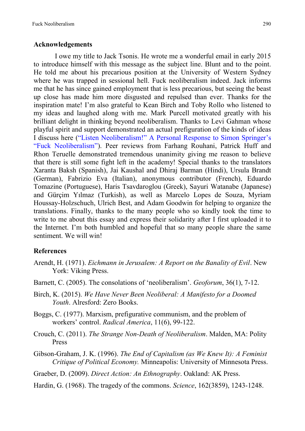## **Acknowledgements**

I owe my title to Jack Tsonis. He wrote me a wonderful email in early 2015 to introduce himself with this message as the subject line. Blunt and to the point. He told me about his precarious position at the University of Western Sydney where he was trapped in sessional hell. Fuck neoliberalism indeed. Jack informs me that he has since gained employment that is less precarious, but seeing the beast up close has made him more disgusted and repulsed than ever. Thanks for the inspiration mate! I'm also grateful to Kean Birch and Toby Rollo who listened to my ideas and laughed along with me. Mark Purcell motivated greatly with his brilliant delight in thinking beyond neoliberalism. Thanks to Levi Gahman whose playful spirit and support demonstrated an actual prefiguration of the kinds of ideas I discuss here (["Listen Neoliberalism!" A Personal Response to Simon Springer's](https://www.academia.edu/24191779/_Listen_Neoliberalism_A_Personal_Response_to_Simon_Springer_s_Fuck_Neoliberalism_)  ["Fuck Neoliberalism"](https://www.academia.edu/24191779/_Listen_Neoliberalism_A_Personal_Response_to_Simon_Springer_s_Fuck_Neoliberalism_)). Peer reviews from Farhang Rouhani, Patrick Huff and Rhon Teruelle demonstrated tremendous unanimity giving me reason to believe that there is still some fight left in the academy! Special thanks to the translators Xaranta Baksh (Spanish), Jai Kaushal and Dhiraj Barman (Hindi), Ursula Brandt (German), Fabrizio Eva (Italian), anonymous contributor (French), Eduardo Tomazine (Portuguese), Haris Tsavdaroglou (Greek), Sayuri Watanabe (Japanese) and Gürçim Yılmaz (Turkish), as well as Marcelo Lopes de Souza, Myriam Houssay-Holzschuch, Ulrich Best, and Adam Goodwin for helping to organize the translations. Finally, thanks to the many people who so kindly took the time to write to me about this essay and express their solidarity after I first uploaded it to the Internet. I'm both humbled and hopeful that so many people share the same sentiment. We will win!

## **References**

- Arendt, H. (1971). *Eichmann in Jerusalem: A Report on the Banality of Evil*. New York: Viking Press.
- Barnett, C. (2005). The consolations of 'neoliberalism'. *Geoforum*, 36(1), 7-12.
- Birch, K. (2015). *We Have Never Been Neoliberal: A Manifesto for a Doomed Youth*. Alresford: Zero Books.
- Boggs, C. (1977). Marxism, prefigurative communism, and the problem of workers' control. *Radical America*, 11(6), 99-122.
- Crouch, C. (2011). *The Strange Non-Death of Neoliberalism*. Malden, MA: Polity Press
- Gibson-Graham, J. K. (1996). *The End of Capitalism (as We Knew It): A Feminist Critique of Political Economy.* Minneapolis: University of Minnesota Press.
- Graeber, D. (2009). *Direct Action: An Ethnography*. Oakland: AK Press.
- Hardin, G. (1968). The tragedy of the commons. *Science*, 162(3859), 1243-1248.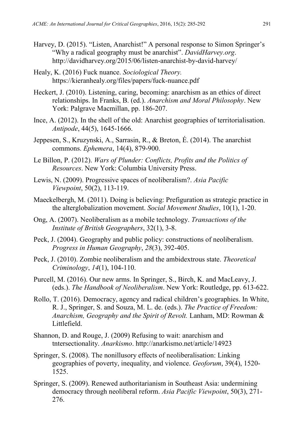- Harvey, D. (2015). "Listen, Anarchist!" A personal response to Simon Springer's "Why a radical geography must be anarchist". *DavidHarvey.org*. http://davidharvey.org/2015/06/listen-anarchist-by-david-harvey/
- Healy, K. (2016) Fuck nuance. *Sociological Theory.*  https://kieranhealy.org/files/papers/fuck-nuance.pdf
- Heckert, J. (2010). Listening, caring, becoming: anarchism as an ethics of direct relationships. In Franks, B. (ed.). *Anarchism and Moral Philosophy*. New York: Palgrave Macmillan, pp. 186-207.
- Ince, A. (2012). In the shell of the old: Anarchist geographies of territorialisation. *Antipode*, 44(5), 1645-1666.
- Jeppesen, S., Kruzynski, A., Sarrasin, R., & Breton, É. (2014). The anarchist commons. *Ephemera*, 14(4), 879-900.
- Le Billon, P. (2012). *Wars of Plunder: Conflicts, Profits and the Politics of Resources*. New York: Columbia University Press.
- Lewis, N. (2009). Progressive spaces of neoliberalism?. *Asia Pacific Viewpoint*, 50(2), 113-119.
- Maeckelbergh, M. (2011). Doing is believing: Prefiguration as strategic practice in the alterglobalization movement. *Social Movement Studies*, 10(1), 1-20.
- Ong, A. (2007). Neoliberalism as a mobile technology. *Transactions of the Institute of British Geographers*, 32(1), 3-8.
- Peck, J. (2004). Geography and public policy: constructions of neoliberalism. *Progress in Human Geography*, *28*(3), 392-405.
- Peck, J. (2010). Zombie neoliberalism and the ambidextrous state. *Theoretical Criminology*, *14*(1), 104-110.
- Purcell, M. (2016). Our new arms. In Springer, S., Birch, K. and MacLeavy, J. (eds.). *The Handbook of Neoliberalism*. New York: Routledge, pp. 613-622.
- Rollo, T. (2016). Democracy, agency and radical children's geographies. In White, R. J., Springer, S. and Souza, M. L. de. (eds.). *The Practice of Freedom: Anarchism, Geography and the Spirit of Revolt.* Lanham, MD: Rowman & Littlefield.
- Shannon, D. and Rouge, J. (2009) Refusing to wait: anarchism and tntersectionality. *Anarkismo*. http://anarkismo.net/article/14923
- Springer, S. (2008). The nonillusory effects of neoliberalisation: Linking geographies of poverty, inequality, and violence. *Geoforum*, 39(4), 1520- 1525.
- Springer, S. (2009). Renewed authoritarianism in Southeast Asia: undermining democracy through neoliberal reform. *Asia Pacific Viewpoint*, 50(3), 271- 276.